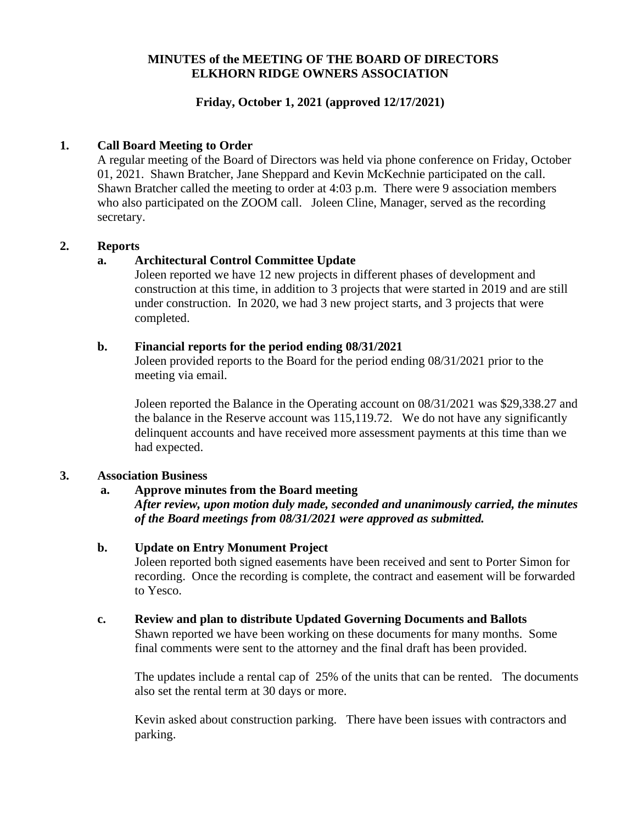## **MINUTES of the MEETING OF THE BOARD OF DIRECTORS ELKHORN RIDGE OWNERS ASSOCIATION**

## **Friday, October 1, 2021 (approved 12/17/2021)**

### **1. Call Board Meeting to Order**

A regular meeting of the Board of Directors was held via phone conference on Friday, October 01, 2021. Shawn Bratcher, Jane Sheppard and Kevin McKechnie participated on the call. Shawn Bratcher called the meeting to order at 4:03 p.m. There were 9 association members who also participated on the ZOOM call. Joleen Cline, Manager, served as the recording secretary.

#### **2. Reports**

### **a. Architectural Control Committee Update**

Joleen reported we have 12 new projects in different phases of development and construction at this time, in addition to 3 projects that were started in 2019 and are still under construction. In 2020, we had 3 new project starts, and 3 projects that were completed.

#### **b. Financial reports for the period ending 08/31/2021**

Joleen provided reports to the Board for the period ending 08/31/2021 prior to the meeting via email.

Joleen reported the Balance in the Operating account on 08/31/2021 was \$29,338.27 and the balance in the Reserve account was 115,119.72. We do not have any significantly delinquent accounts and have received more assessment payments at this time than we had expected.

#### **3. Association Business**

## **a. Approve minutes from the Board meeting**

*After review, upon motion duly made, seconded and unanimously carried, the minutes of the Board meetings from 08/31/2021 were approved as submitted.*

#### **b. Update on Entry Monument Project**

Joleen reported both signed easements have been received and sent to Porter Simon for recording. Once the recording is complete, the contract and easement will be forwarded to Yesco.

#### **c. Review and plan to distribute Updated Governing Documents and Ballots**

Shawn reported we have been working on these documents for many months. Some final comments were sent to the attorney and the final draft has been provided.

The updates include a rental cap of 25% of the units that can be rented. The documents also set the rental term at 30 days or more.

Kevin asked about construction parking. There have been issues with contractors and parking.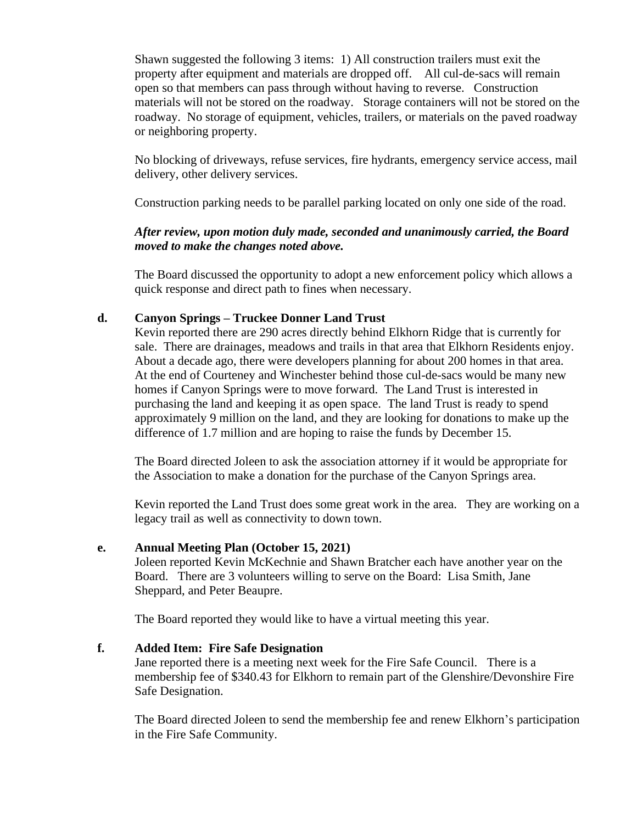Shawn suggested the following 3 items: 1) All construction trailers must exit the property after equipment and materials are dropped off. All cul-de-sacs will remain open so that members can pass through without having to reverse. Construction materials will not be stored on the roadway. Storage containers will not be stored on the roadway. No storage of equipment, vehicles, trailers, or materials on the paved roadway or neighboring property.

No blocking of driveways, refuse services, fire hydrants, emergency service access, mail delivery, other delivery services.

Construction parking needs to be parallel parking located on only one side of the road.

# *After review, upon motion duly made, seconded and unanimously carried, the Board moved to make the changes noted above.*

The Board discussed the opportunity to adopt a new enforcement policy which allows a quick response and direct path to fines when necessary.

## **d. Canyon Springs – Truckee Donner Land Trust**

Kevin reported there are 290 acres directly behind Elkhorn Ridge that is currently for sale. There are drainages, meadows and trails in that area that Elkhorn Residents enjoy. About a decade ago, there were developers planning for about 200 homes in that area. At the end of Courteney and Winchester behind those cul-de-sacs would be many new homes if Canyon Springs were to move forward. The Land Trust is interested in purchasing the land and keeping it as open space. The land Trust is ready to spend approximately 9 million on the land, and they are looking for donations to make up the difference of 1.7 million and are hoping to raise the funds by December 15.

The Board directed Joleen to ask the association attorney if it would be appropriate for the Association to make a donation for the purchase of the Canyon Springs area.

Kevin reported the Land Trust does some great work in the area. They are working on a legacy trail as well as connectivity to down town.

#### **e. Annual Meeting Plan (October 15, 2021)**

Joleen reported Kevin McKechnie and Shawn Bratcher each have another year on the Board. There are 3 volunteers willing to serve on the Board: Lisa Smith, Jane Sheppard, and Peter Beaupre.

The Board reported they would like to have a virtual meeting this year.

#### **f. Added Item: Fire Safe Designation**

Jane reported there is a meeting next week for the Fire Safe Council. There is a membership fee of \$340.43 for Elkhorn to remain part of the Glenshire/Devonshire Fire Safe Designation.

The Board directed Joleen to send the membership fee and renew Elkhorn's participation in the Fire Safe Community.